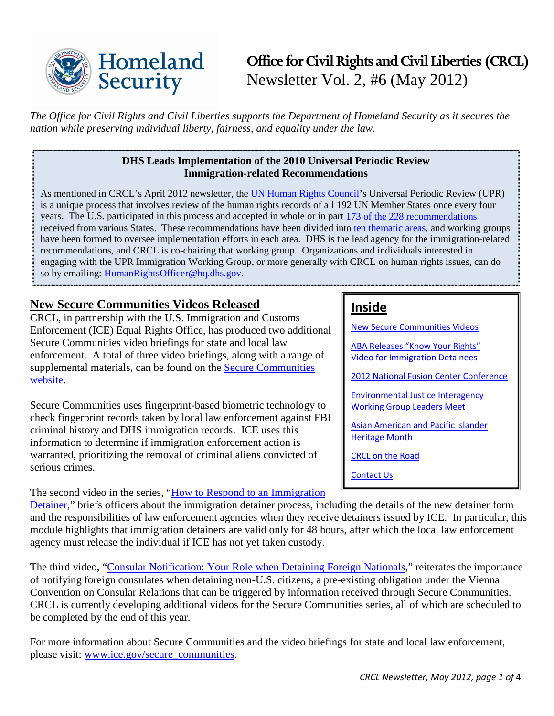

*The Office for Civil Rights and Civil Liberties supports the Department of Homeland Security as it secures the nation while preserving individual liberty, fairness, and equality under the law.* 

## **DHS Leads Implementation of the 2010 Universal Periodic Review Immigration-related Recommendations**

As mentioned in CRCL's April 2012 newsletter, the [UN Human Rights Council'](http://www.ohchr.org/EN/HRBodies/HRC/Pages/HRCIndex.aspx)s Universal Periodic Review (UPR) is a unique process that involves review of the human rights records of all 192 UN Member States once every four years. The U.S. participated in this process and accepted in whole or in part [173 of the 228 recommendations](http://www.humanrights.gov/wp-content/uploads/2012/03/USAcceptedRecommendations-2010UPR.pdf) received from various States. These recommendations have been divided into [ten thematic areas,](http://www.humanrights.gov/wp-content/uploads/2012/03/USImplementationProcess-2010-UPR.pdf) and working groups have been formed to oversee implementation efforts in each area. DHS is the lead agency for the immigration-related recommendations, and CRCL is co-chairing that working group. Organizations and individuals interested in engaging with the UPR Immigration Working Group, or more generally with CRCL on human rights issues, can do so by emailing: [HumanRightsOfficer@hq.dhs.gov.](mailto:HumanRightsOfficer@hq.dhs.gov)

# <span id="page-0-0"></span>**New Secure Communities Videos Released**

CRCL, in partnership with the U.S. Immigration and Customs Enforcement (ICE) Equal Rights Office, has produced two additional Secure Communities video briefings for state and local law enforcement. A total of three video briefings, along with a range of supplemental materials, can be found on the [Secure Communities](http://www.ice.gov/secure_communities/crcl.htm)  [website.](http://www.ice.gov/secure_communities/crcl.htm)

Secure Communities uses fingerprint-based biometric technology to check fingerprint records taken by local law enforcement against FBI criminal history and DHS immigration records. ICE uses this information to determine if immigration enforcement action is warranted, prioritizing the removal of criminal aliens convicted of serious crimes.

The second video in the series, "How to Respond to an Immigration"

# **Inside**

[New Secure Communities Videos](#page-0-0) [ABA Releases "Know Your Rights"](#page-1-0)  [Video for Immigration Detainees](#page-1-0)

[2012 National Fusion Center Conference](#page-1-1)

[Environmental Justice Interagency](#page-1-2)  [Working Group Leaders Meet](#page-1-2)

[Asian American and Pacific Islander](#page-2-0)  [Heritage Month](#page-2-0)

[CRCL on the Road](#page-2-1)

[Contact Us](#page-3-0)

[Detainer,](http://www.ice.gov/news/galleries/videos/detainer.htm)" briefs officers about the immigration detainer process, including the details of the new detainer form and the responsibilities of law enforcement agencies when they receive detainers issued by ICE. In particular, this module highlights that immigration detainers are valid only for 48 hours, after which the local law enforcement agency must release the individual if ICE has not yet taken custody.

The third video, ["Consular Notification: Your Role when Detaining Foreign Nationals,](http://www.ice.gov/news/galleries/videos/consular_notification.htm)" reiterates the importance of notifying foreign consulates when detaining non-U.S. citizens, a pre-existing obligation under the Vienna Convention on Consular Relations that can be triggered by information received through Secure Communities. CRCL is currently developing additional videos for the Secure Communities series, all of which are scheduled to be completed by the end of this year.

For more information about Secure Communities and the video briefings for state and local law enforcement, please visit: [www.ice.gov/secure\\_communities.](http://www.ice.gov/secure_communities)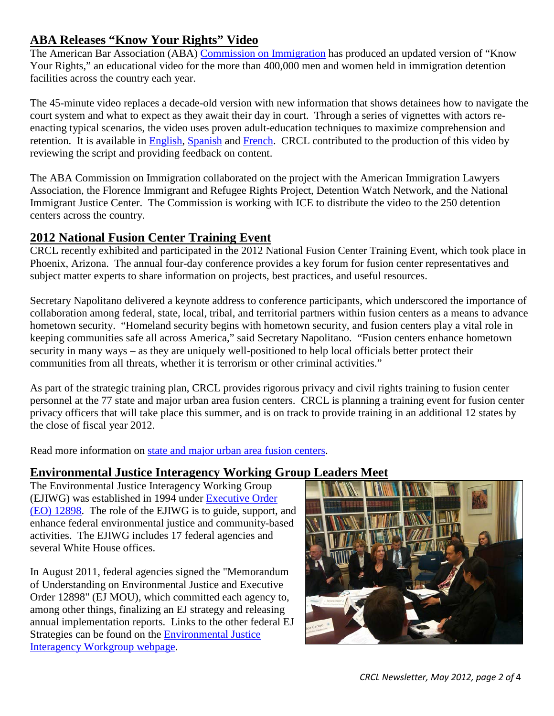# <span id="page-1-0"></span>**ABA Releases "Know Your Rights" Video**

The American Bar Association (ABA) [Commission on Immigration](http://www.americanbar.org/groups/public_services/immigration.html) has produced an updated version of "Know Your Rights," an educational video for the more than 400,000 men and women held in immigration detention facilities across the country each year.

The 45-minute video replaces a decade-old version with new information that shows detainees how to navigate the court system and what to expect as they await their day in court. Through a series of vignettes with actors reenacting typical scenarios, the video uses proven adult-education techniques to maximize comprehension and retention. It is available in [English,](http://www.abanow.org/2012/04/know-your-rights-video/) [Spanish](http://www.abanow.org/2012/04/conozca-sus-derechos-video/) and [French.](http://www.abanow.org/2012/04/know-your-rights-francais/) CRCL contributed to the production of this video by reviewing the script and providing feedback on content.

The ABA Commission on Immigration collaborated on the project with the American Immigration Lawyers Association, the Florence Immigrant and Refugee Rights Project, Detention Watch Network, and the National Immigrant Justice Center. The Commission is working with ICE to distribute the video to the 250 detention centers across the country.

## <span id="page-1-1"></span>**2012 National Fusion Center Training Event**

CRCL recently exhibited and participated in the 2012 National Fusion Center Training Event, which took place in Phoenix, Arizona. The annual four-day conference provides a key forum for fusion center representatives and subject matter experts to share information on projects, best practices, and useful resources.

Secretary Napolitano delivered a keynote address to conference participants, which underscored the importance of collaboration among federal, state, local, tribal, and territorial partners within fusion centers as a means to advance hometown security. "Homeland security begins with hometown security, and fusion centers play a vital role in keeping communities safe all across America," said Secretary Napolitano. "Fusion centers enhance hometown security in many ways – as they are uniquely well-positioned to help local officials better protect their communities from all threats, whether it is terrorism or other criminal activities."

As part of the strategic training plan, CRCL provides rigorous privacy and civil rights training to fusion center personnel at the 77 state and major urban area fusion centers. CRCL is planning a training event for fusion center privacy officers that will take place this summer, and is on track to provide training in an additional 12 states by the close of fiscal year 2012.

Read more information on [state and major urban area fusion centers.](http://www.dhs.gov/files/programs/gc_1156877184684.shtm)

## <span id="page-1-2"></span>**Environmental Justice Interagency Working Group Leaders Meet**

The Environmental Justice Interagency Working Group (EJIWG) was established in 1994 under [Executive Order](http://www.epa.gov/environmentaljustice/resources/policy/exec_order_12898.pdf)  [\(EO\) 12898.](http://www.epa.gov/environmentaljustice/resources/policy/exec_order_12898.pdf) The role of the EJIWG is to guide, support, and enhance federal environmental justice and community-based activities. The EJIWG includes 17 federal agencies and several White House offices.

In August 2011, federal agencies signed the "Memorandum of Understanding on Environmental Justice and Executive Order 12898" (EJ MOU), which committed each agency to, among other things, finalizing an EJ strategy and releasing annual implementation reports. Links to the other federal EJ Strategies can be found on the [Environmental Justice](http://www.epa.gov/environmentaljustice/interagency/index.html)  [Interagency Workgroup webpage.](http://www.epa.gov/environmentaljustice/interagency/index.html)

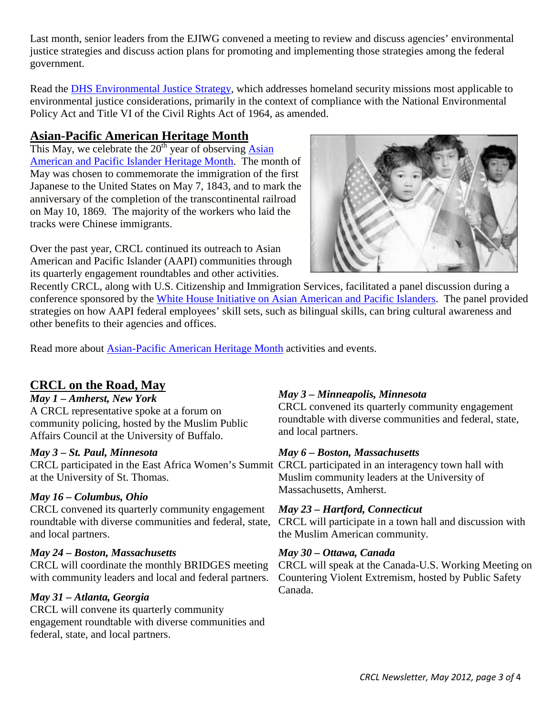Last month, senior leaders from the EJIWG convened a meeting to review and discuss agencies' environmental justice strategies and discuss action plans for promoting and implementing those strategies among the federal government.

Read the **DHS** Environmental Justice Strategy, which addresses homeland security missions most applicable to environmental justice considerations, primarily in the context of compliance with the National Environmental Policy Act and Title VI of the Civil Rights Act of 1964, as amended.

# <span id="page-2-0"></span>**Asian-Pacific American Heritage Month**

This May, we celebrate the  $20<sup>th</sup>$  year of observing Asian [American and Pacific Islander Heritage Month.](http://asianpacificheritage.gov/index.html) The month of May was chosen to commemorate the immigration of the first Japanese to the United States on May 7, 1843, and to mark the anniversary of the completion of the transcontinental railroad on May 10, 1869. The majority of the workers who laid the tracks were Chinese immigrants.

Over the past year, CRCL continued its outreach to Asian American and Pacific Islander (AAPI) communities through its quarterly engagement roundtables and other activities.



Recently CRCL, along with U.S. Citizenship and Immigration Services, facilitated a panel discussion during a conference sponsored by the [White House Initiative on Asian American and Pacific Islanders.](http://www.whitehouse.gov/aapi) The panel provided strategies on how AAPI federal employees' skill sets, such as bilingual skills, can bring cultural awareness and other benefits to their agencies and offices.

Read more about [Asian-Pacific American Heritage Month](http://asianpacificheritage.gov/index.html) activities and events.

# <span id="page-2-1"></span>**CRCL on the Road, May**

## *May 1 – Amherst, New York*

A CRCL representative spoke at a forum on community policing, hosted by the Muslim Public Affairs Council at the University of Buffalo.

## *May 3 – St. Paul, Minnesota*

CRCL participated in the East Africa Women's Summit CRCL participated in an interagency town hall with at the University of St. Thomas.

# Massachusetts, Amherst. *May 16 – Columbus, Ohio*

CRCL convened its quarterly community engagement roundtable with diverse communities and federal, state, and local partners.

## *May 24 – Boston, Massachusetts*

CRCL will coordinate the monthly BRIDGES meeting with community leaders and local and federal partners.

# Canada. *May 31 – Atlanta, Georgia*

CRCL will convene its quarterly community engagement roundtable with diverse communities and federal, state, and local partners.

## *May 3 – Minneapolis, Minnesota*

CRCL convened its quarterly community engagement roundtable with diverse communities and federal, state, and local partners.

## *May 6 – Boston, Massachusetts*

Muslim community leaders at the University of

## *May 23 – Hartford, Connecticut*

CRCL will participate in a town hall and discussion with the Muslim American community.

## *May 30 – Ottawa, Canada*

CRCL will speak at the Canada-U.S. Working Meeting on Countering Violent Extremism, hosted by Public Safety